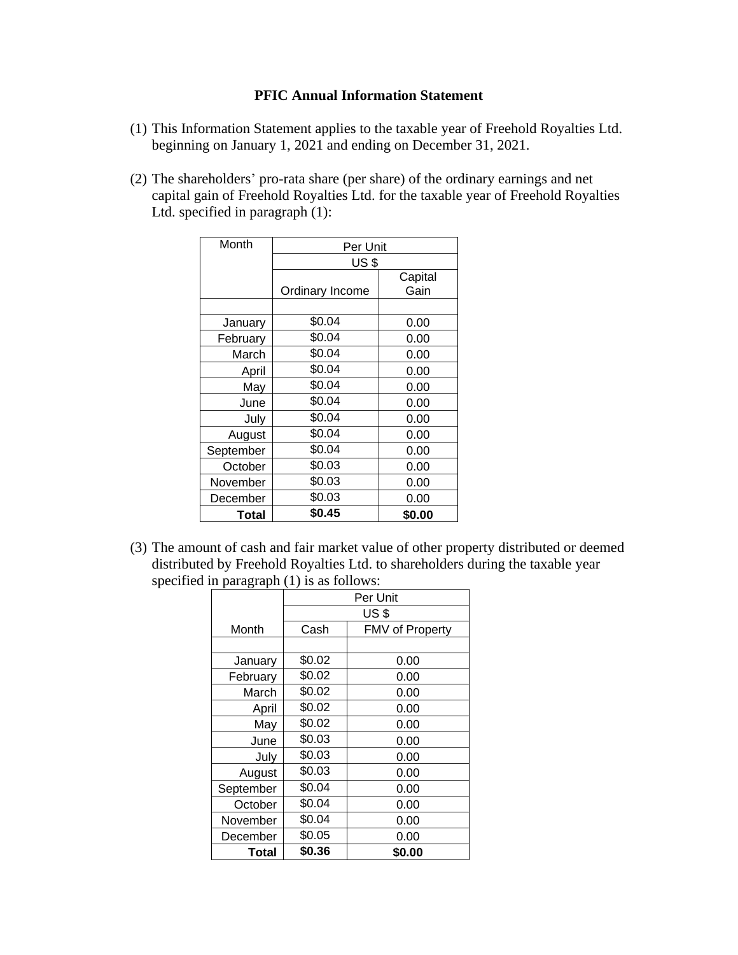## **PFIC Annual Information Statement**

- (1) This Information Statement applies to the taxable year of Freehold Royalties Ltd. beginning on January 1, 2021 and ending on December 31, 2021.
- (2) The shareholders' pro-rata share (per share) of the ordinary earnings and net capital gain of Freehold Royalties Ltd. for the taxable year of Freehold Royalties Ltd. specified in paragraph (1):

| Month     | Per Unit        |         |  |
|-----------|-----------------|---------|--|
|           | <b>US \$</b>    |         |  |
|           |                 | Capital |  |
|           | Ordinary Income | Gain    |  |
|           |                 |         |  |
| January   | \$0.04          | 0.00    |  |
| February  | \$0.04          | 0.00    |  |
| March     | \$0.04          | 0.00    |  |
| April     | \$0.04          | 0.00    |  |
| May       | \$0.04          | 0.00    |  |
| June      | \$0.04          | 0.00    |  |
| July      | \$0.04          | 0.00    |  |
| August    | \$0.04          | 0.00    |  |
| September | \$0.04          | 0.00    |  |
| October   | \$0.03          | 0.00    |  |
| November  | \$0.03          | 0.00    |  |
| December  | \$0.03          | 0.00    |  |
| Total     | \$0.45          | \$0.00  |  |

(3) The amount of cash and fair market value of other property distributed or deemed distributed by Freehold Royalties Ltd. to shareholders during the taxable year specified in paragraph (1) is as follows:

|              | Per Unit         |                        |
|--------------|------------------|------------------------|
|              | US <sub>\$</sub> |                        |
| Month        | Cash             | <b>FMV of Property</b> |
|              |                  |                        |
| January      | \$0.02           | 0.00                   |
| February     | \$0.02           | 0.00                   |
| March        | \$0.02           | 0.00                   |
| April        | \$0.02           | 0.00                   |
| May          | \$0.02           | 0.00                   |
| June         | \$0.03           | 0.00                   |
| July         | \$0.03           | 0.00                   |
| August       | \$0.03           | 0.00                   |
| September    | \$0.04           | 0.00                   |
| October      | \$0.04           | 0.00                   |
| November     | \$0.04           | 0.00                   |
| December     | \$0.05           | 0.00                   |
| <b>Total</b> | \$0.36           | \$0.00                 |